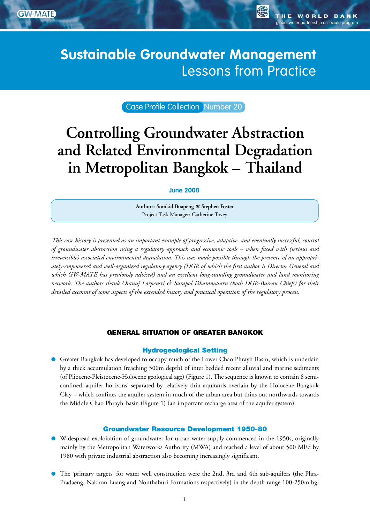**Management Advisory Team**  GW•MATE Briefing Note Series

global water partnership associate program

**OF** 

# Sustainable Groundwater Management: **Sustainable Groundwater Management Concepts and Tools and Tools and Tools and Tools and Tools and Tools and Tools and Tools and Tools and Tools a**

Case Profile Collection Number 20

# **Controlling Groundwater Abstraction and Related Environmental Degradation in Metropolitan Bangkok – Thailand**

### **June 2008**

**Authors: Somkid Buapeng & Stephen Foster** Project Task Manager: Catherine Tovey

*This case history is presented as an important example of progressive, adaptive, and eventually successful, control of groundwater abstraction using a regulatory approach and economic tools – when faced with (serious and irreversible) associated environmental degradation. This was made possible through the presence of an appropriately-empowered and well-organized regulatory agency (DGR of which the first author is Director General and which GW-MATE has previously advised) and an excellent long-standing groundwater and land monitoring network. The authors thank Oranuj Lorpensri & Surapol Dhammasarn (both DGR-Bureau Chiefs) for their detailed account of some aspects of the extended history and practical operation of the regulatory process.*

# GENERAL SITUATION OF GREATER BANGKOK

#### Hydrogeological Setting

Greater Bangkok has developed to occupy much of the Lower Chao Phrayh Basin, which is underlain by a thick accumulation (reaching 500m depth) of inter bedded recent alluvial and marine sediments (of Pliocene-Pleistocene-Holocene geological age) (Figure 1). The sequence is known to contain 8 semiconfined 'aquifer horizons' separated by relatively thin aquitards overlain by the Holocene Bangkok Clay – which confines the aquifer system in much of the urban area but thins out northwards towards the Middle Chao Phrayh Basin (Figure 1) (an important recharge area of the aquifer system).

#### Groundwater Resource Development 1950-80

- Widespread exploitation of groundwater for urban water-supply commenced in the 1950s, originally mainly by the Metropolitan Waterworks Authority (MWA) and reached a level of about 500 Ml/d by 1980 with private industrial abstraction also becoming increasingly significant.
- The 'primary targets' for water well construction were the 2nd, 3rd and 4th sub-aquifers (the Phra-Pradaeng, Nakhon Luang and Nonthaburi Formations respectively) in the depth range 100-250m bgl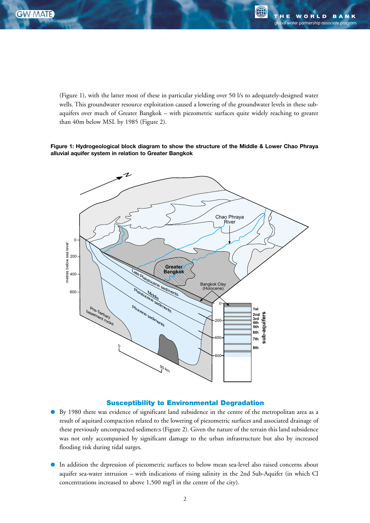**Management**

(Figure 1), with the latter most of these in particular yielding over 50 l/s to adequately-designed water wells. This groundwater resource exploitation caused a lowering of the groundwater levels in these subaquifers over much of Greater Bangkok – with piezometric surfaces quite widely reaching to greater than 40m below MSL by 1985 (Figure 2).

#### **Figure 1: Hydrogeological block diagram to show the structure of the Middle & Lower Chao Phraya alluvial aquifer system in relation to Greater Bangkok**



#### Susceptibility to Environmental Degradation

- By 1980 there was evidence of significant land subsidence in the centre of the metropolitan area as a result of aquitard compaction related to the lowering of piezometric surfaces and associated drainage of these previously uncompacted sediments (Figure 2). Given the nature of the terrain this land subsidence was not only accompanied by significant damage to the urban infrastructure but also by increased flooding risk during tidal surges.
- In addition the depression of piezometric surfaces to below mean sea-level also raised concerns about aquifer sea-water intrusion – with indications of rising salinity in the 2nd Sub-Aquifer (in which Cl concentrations increased to above 1,500 mg/l in the centre of the city).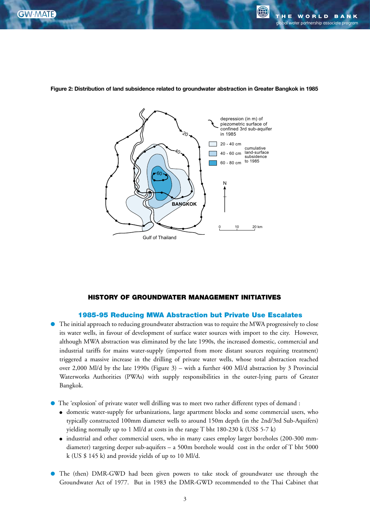**Management**



**Figure 2: Distribution of land subsidence related to groundwater abstraction in Greater Bangkok in 1985**

#### HISTORY OF GROUNDWATER MANAGEMENT INITIATIVES

### 1985-95 Reducing MWA Abstraction but Private Use Escalates

- The initial approach to reducing groundwater abstraction was to require the MWA progressively to close its water wells, in favour of development of surface water sources with import to the city. However, although MWA abstraction was eliminated by the late 1990s, the increased domestic, commercial and industrial tariffs for mains water-supply (imported from more distant sources requiring treatment) triggered a massive increase in the drilling of private water wells, whose total abstraction reached over 2,000 Ml/d by the late 1990s (Figure 3) – with a further 400 Ml/d abstraction by 3 Provincial Waterworks Authorities (PWAs) with supply responsibilities in the outer-lying parts of Greater Bangkok.
- The 'explosion' of private water well drilling was to meet two rather different types of demand :
	- domestic water-supply for urbanizations, large apartment blocks and some commercial users, who typically constructed 100mm diameter wells to around 150m depth (in the 2nd/3rd Sub-Aquifers) yielding normally up to 1 Ml/d at costs in the range T bht 180-230 k (US\$ 5-7 k)
	- industrial and other commercial users, who in many cases employ larger boreholes (200-300 mmdiameter) targeting deeper sub-aquifers – a 500m borehole would cost in the order of T bht 5000 k (US \$ 145 k) and provide yields of up to 10 Ml/d.
- The (then) DMR-GWD had been given powers to take stock of groundwater use through the Groundwater Act of 1977. But in 1983 the DMR-GWD recommended to the Thai Cabinet that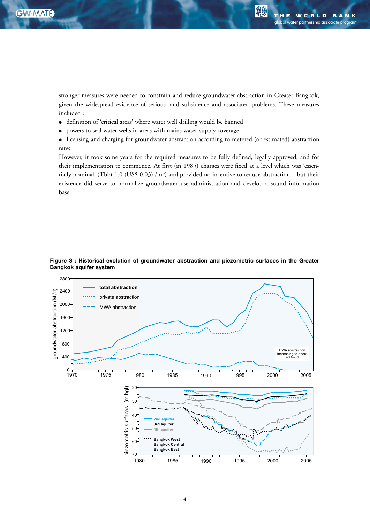**Advisory Team** 

G

stronger measures were needed to constrain and reduce groundwater abstraction in Greater Bangkok, given the widespread evidence of serious land subsidence and associated problems. These measures included :

- definition of 'critical areas' where water well drilling would be banned
- powers to seal water wells in areas with mains water-supply coverage
- licensing and charging for groundwater abstraction according to metered (or estimated) abstraction rates.

However, it took some years for the required measures to be fully defined, legally approved, and for their implementation to commence. At first (in 1985) charges were fixed at a level which was 'essentially nominal' (Tbht 1.0 (US\$ 0.03) /m<sup>3</sup>) and provided no incentive to reduce abstraction – but their existence did serve to normalize groundwater use administration and develop a sound information base.



**Figure 3 : Historical evolution of groundwater abstraction and piezometric surfaces in the Greater Bangkok aquifer system**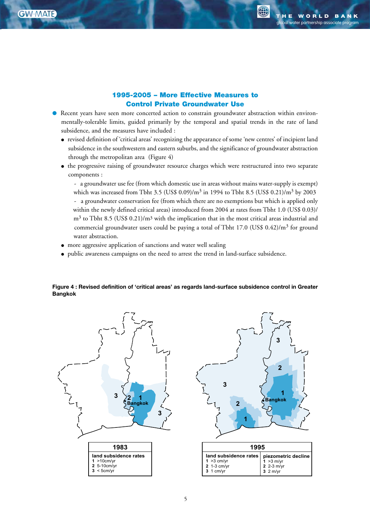**Management**

**A** 

3

 $\overline{2}$ 

4

# 1995-2005 – More Effective Measures to Control Private Groundwater Use

- Recent years have seen more concerted action to constrain groundwater abstraction within environmentally-tolerable limits, guided primarily by the temporal and spatial trends in the rate of land subsidence, and the measures have included :
	- revised definition of 'critical areas' recognizing the appearance of some 'new centres' of incipient land subsidence in the southwestern and eastern suburbs, and the significance of groundwater abstraction through the metropolitan area (Figure 4)
	- the progressive raising of groundwater resource charges which were restructured into two separate components :

- a groundwater use fee (from which domestic use in areas without mains water-supply is exempt) which was increased from Tbht 3.5 (US\$ 0.09)/ $m^3$  in 1994 to Tbht 8.5 (US\$ 0.21)/ $m^3$  by 2003

- a groundwater conservation fee (from which there are no exemptions but which is applied only within the newly defined critical areas) introduced from 2004 at rates from Tbht 1.0 (US\$ 0.03)/  $m<sup>3</sup>$  to Tbht 8.5 (US\$ 0.21)/ $m<sup>3</sup>$  with the implication that in the most critical areas industrial and commercial groundwater users could be paying a total of Tbht 17.0 (US\$ 0.42)/m<sup>3</sup> for ground water abstraction.
- more aggressive application of sanctions and water well sealing
- public awareness campaigns on the need to arrest the trend in land-surface subsidence.

#### **Figure 4 : Revised definition of 'critical areas' as regards land-surface subsidence control in Greater Bangkok**

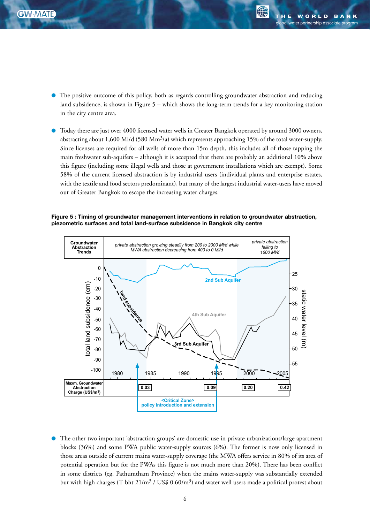**Management**

- The positive outcome of this policy, both as regards controlling groundwater abstraction and reducing land subsidence, is shown in Figure 5 – which shows the long-term trends for a key monitoring station in the city centre area.
- Today there are just over 4000 licensed water wells in Greater Bangkok operated by around 3000 owners, abstracting about 1,600 Ml/d (580 Mm<sup>3</sup>/a) which represents approaching 15% of the total water-supply. Since licenses are required for all wells of more than 15m depth, this includes all of those tapping the main freshwater sub-aquifers – although it is accepted that there are probably an additional 10% above this figure (including some illegal wells and those at government installations which are exempt). Some 58% of the current licensed abstraction is by industrial users (individual plants and enterprise estates, with the textile and food sectors predominant), but many of the largest industrial water-users have moved out of Greater Bangkok to escape the increasing water charges.

#### **Figure 5 : Timing of groundwater management interventions in relation to groundwater abstraction, piezometric surfaces and total land-surface subsidence in Bangkok city centre**



The other two important 'abstraction groups' are domestic use in private urbanizations/large apartment blocks (36%) and some PWA public water-supply sources (6%). The former is now only licensed in those areas outside of current mains water-supply coverage (the MWA offers service in 80% of its area of potential operation but for the PWAs this figure is not much more than 20%). There has been conflict in some districts (eg. Pathumtham Province) when the mains water-supply was substantially extended but with high charges (T bht  $21/m^3$  / US\$ 0.60/m<sup>3</sup>) and water well users made a political protest about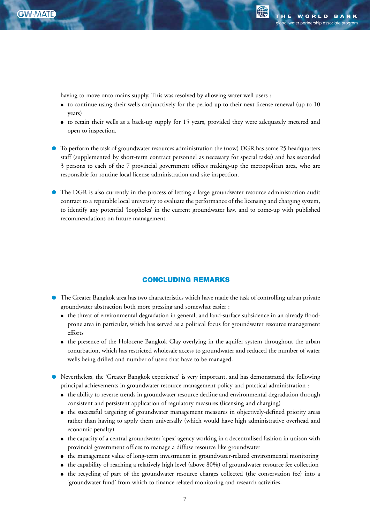**Advisory Team** 

having to move onto mains supply. This was resolved by allowing water well users :

- to continue using their wells conjunctively for the period up to their next license renewal (up to 10 years)
- to retain their wells as a back-up supply for 15 years, provided they were adequately metered and open to inspection.
- To perform the task of groundwater resources administration the (now) DGR has some 25 headquarters staff (supplemented by short-term contract personnel as necessary for special tasks) and has seconded 3 persons to each of the 7 provincial government offices making-up the metropolitan area, who are responsible for routine local license administration and site inspection.
- The DGR is also currently in the process of letting a large groundwater resource administration audit contract to a reputable local university to evaluate the performance of the licensing and charging system, to identify any potential 'loopholes' in the current groundwater law, and to come-up with published recommendations on future management.

# CONCLUDING REMARKS

- The Greater Bangkok area has two characteristics which have made the task of controlling urban private groundwater abstraction both more pressing and somewhat easier :
	- the threat of environmental degradation in general, and land-surface subsidence in an already floodprone area in particular, which has served as a political focus for groundwater resource management efforts
	- the presence of the Holocene Bangkok Clay overlying in the aquifer system throughout the urban conurbation, which has restricted wholesale access to groundwater and reduced the number of water wells being drilled and number of users that have to be managed.
- Nevertheless, the 'Greater Bangkok experience' is very important, and has demonstrated the following principal achievements in groundwater resource management policy and practical administration :
	- the ability to reverse trends in groundwater resource decline and environmental degradation through consistent and persistent application of regulatory measures (licensing and charging)
	- the successful targeting of groundwater management measures in objectively-defined priority areas rather than having to apply them universally (which would have high administrative overhead and economic penalty)
	- the capacity of a central groundwater 'apex' agency working in a decentralised fashion in unison with provincial government offices to manage a diffuse resource like groundwater
	- the management value of long-term investments in groundwater-related environmental monitoring
	- the capability of reaching a relatively high level (above 80%) of groundwater resource fee collection
	- the recycling of part of the groundwater resource charges collected (the conservation fee) into a 'groundwater fund' from which to finance related monitoring and research activities.